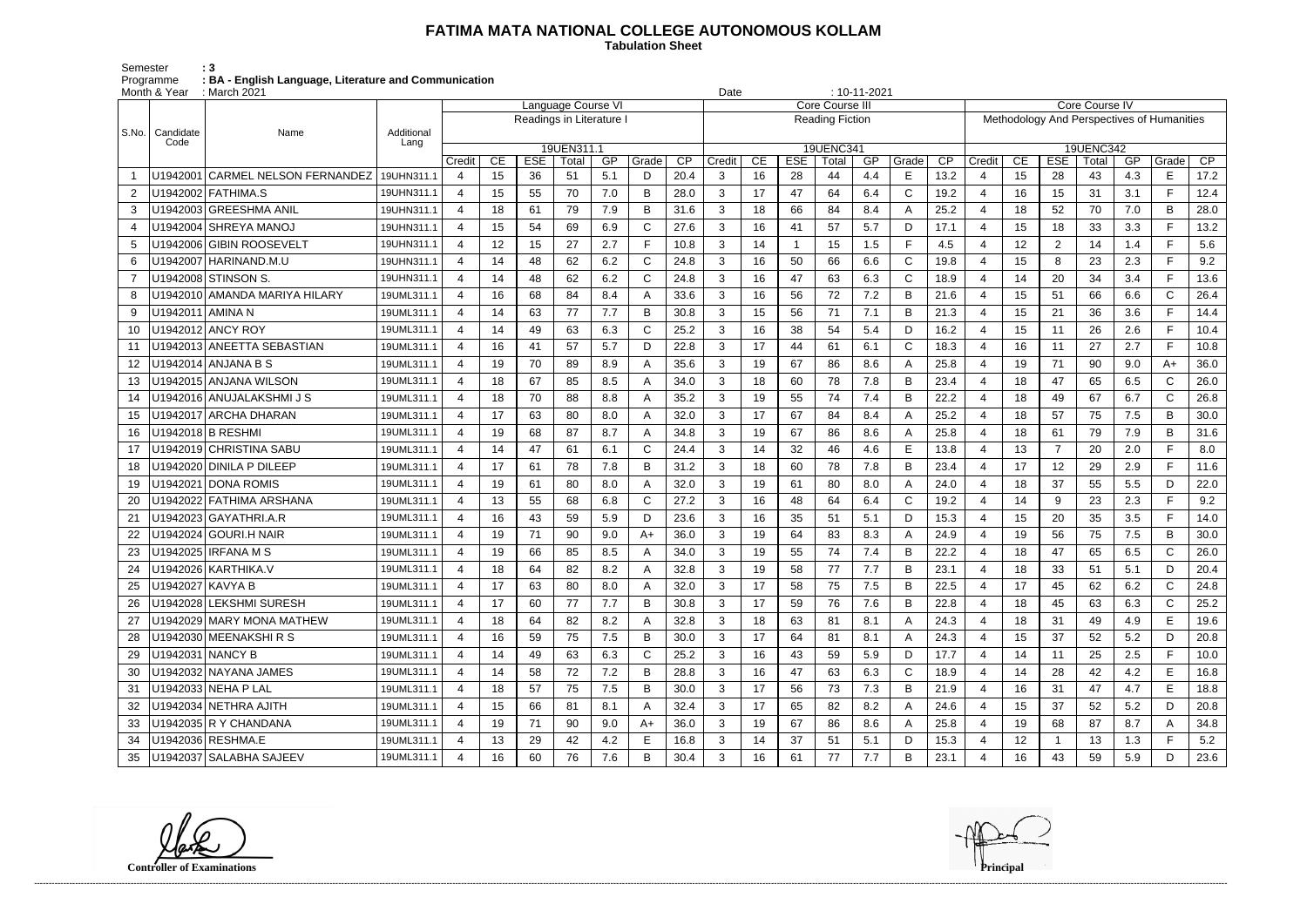## **FATIMA MATA NATIONAL COLLEGE AUTONOMOUS KOLLAM**

 **Tabulation Sheet** 

Semester : 3 Programme **: BA - English Language, Literature and Communication**

|       | Month & Year      | : March 2021                    |                    |                       |    |                          |                    |     |       |      |                        |    | $: 10 - 11 - 2021$<br>Date |           |     |              |                 |                |                                            |                |       |     |              |                 |  |
|-------|-------------------|---------------------------------|--------------------|-----------------------|----|--------------------------|--------------------|-----|-------|------|------------------------|----|----------------------------|-----------|-----|--------------|-----------------|----------------|--------------------------------------------|----------------|-------|-----|--------------|-----------------|--|
|       |                   |                                 |                    |                       |    |                          | Language Course VI |     |       |      | Core Course III        |    |                            |           |     |              |                 |                | Core Course IV                             |                |       |     |              |                 |  |
|       |                   |                                 |                    |                       |    | Readings in Literature I |                    |     |       |      | <b>Reading Fiction</b> |    |                            |           |     |              |                 |                | Methodology And Perspectives of Humanities |                |       |     |              |                 |  |
| S.No. | Candidate<br>Code | Name                            | Additional<br>Lang |                       |    |                          | 19UEN311.1         |     |       |      |                        |    |                            | 19UENC341 |     |              |                 | 19UENC342      |                                            |                |       |     |              |                 |  |
|       |                   |                                 |                    | Credit                | CE | <b>ESE</b>               | Total              | GP  | Grade | CP   | Credit                 | CE | <b>ESE</b>                 | Total     | GP  | Grade        | $\overline{CP}$ | Credit         | CE                                         | <b>ESE</b>     | Total | GP  | Grade        | $\overline{CP}$ |  |
|       | U1942001          | CARMEL NELSON FERNANDEZ         | 19UHN311.1         | $\overline{4}$        | 15 | 36                       | 51                 | 5.1 | D     | 20.4 | 3                      | 16 | 28                         | 44        | 4.4 | Е            | 13.2            | $\overline{4}$ | 15                                         | 28             | 43    | 4.3 | E            | 17.2            |  |
| 2     |                   | U1942002 FATHIMA.S              | 19UHN311.1         | 4                     | 15 | 55                       | 70                 | 7.0 | B     | 28.0 | 3                      | 17 | 47                         | 64        | 6.4 | C            | 19.2            | $\overline{4}$ | 16                                         | 15             | 31    | 3.1 | F.           | 12.4            |  |
| 3     |                   | U1942003 GREESHMA ANIL          | 19UHN311.1         | 4                     | 18 | 61                       | 79                 | 7.9 | B     | 31.6 | 3                      | 18 | 66                         | 84        | 8.4 | A            | 25.2            | 4              | 18                                         | 52             | 70    | 7.0 | B            | 28.0            |  |
| 4     |                   | U1942004 SHREYA MANOJ           | 19UHN311.1         | 4                     | 15 | 54                       | 69                 | 6.9 | С     | 27.6 | 3                      | 16 | 41                         | 57        | 5.7 | D            | 17.1            | $\overline{4}$ | 15                                         | 18             | 33    | 3.3 | F.           | 13.2            |  |
| 5     |                   | U1942006 GIBIN ROOSEVELT        | 19UHN311.1         | 4                     | 12 | 15                       | 27                 | 2.7 |       | 10.8 | 3                      | 14 |                            | 15        | 1.5 | $\mathsf{F}$ | 4.5             | $\overline{4}$ | 12 <sub>2</sub>                            | $\overline{2}$ | 14    | 1.4 | F.           | 5.6             |  |
| 6     |                   | U1942007   HARINAND.M.U         | 19UHN311.1         | 4                     | 14 | 48                       | 62                 | 6.2 | C     | 24.8 | 3                      | 16 | 50                         | 66        | 6.6 | C            | 19.8            |                | 15                                         | 8              | 23    | 2.3 | F.           | 9.2             |  |
| 7     |                   | U1942008 STINSON S.             | 19UHN311.1         | 4                     | 14 | 48                       | 62                 | 6.2 | С     | 24.8 | 3                      | 16 | 47                         | 63        | 6.3 | C            | 18.9            | $\overline{4}$ | 14                                         | 20             | 34    | 3.4 | F.           | 13.6            |  |
| 8     |                   | U1942010   AMANDA MARIYA HILARY | 19UML311.1         | 4                     | 16 | 68                       | 84                 | 8.4 | Α     | 33.6 | 3                      | 16 | 56                         | 72        | 7.2 | B            | 21.6            | 4              | 15                                         | 51             | 66    | 6.6 | $\mathsf{C}$ | 26.4            |  |
| 9     | U1942011 AMINA N  |                                 | 19UML311.1         | 4                     | 14 | 63                       | 77                 | 7.7 | B     | 30.8 | 3                      | 15 | 56                         | 71        | 7.1 | B            | 21.3            | $\overline{4}$ | 15                                         | 21             | 36    | 3.6 | F.           | 14.4            |  |
| 10    |                   | U1942012 ANCY ROY               | 19UML311.1         | 4                     | 14 | 49                       | 63                 | 6.3 | C     | 25.2 | 3                      | 16 | 38                         | 54        | 5.4 | D            | 16.2            | $\overline{4}$ | 15                                         | 11             | 26    | 2.6 | F.           | 10.4            |  |
|       |                   | U1942013 ANEETTA SEBASTIAN      | 19UML311.1         | $\boldsymbol{\Delta}$ | 16 | 41                       | 57                 | 5.7 | D     | 22.8 | 3                      | 17 | 44                         | 61        | 6.1 | C            | 18.3            | 4              | 16                                         | 11             | 27    | 2.7 | F.           | 10.8            |  |
| 12    |                   | U1942014 ANJANA B S             | 19UML311.1         | $\overline{4}$        | 19 | 70                       | 89                 | 8.9 |       | 35.6 | 3                      | 19 | 67                         | 86        | 8.6 | A            | 25.8            | $\overline{4}$ | 19                                         | 71             | 90    | 9.0 | A+           | 36.0            |  |
| 13    |                   | U1942015 ANJANA WILSON          | 19UML311.1         | 4                     | 18 | 67                       | 85                 | 8.5 | Α     | 34.0 | 3                      | 18 | 60                         | 78        | 7.8 | B            | 23.4            | 4              | 18                                         | 47             | 65    | 6.5 | $\mathsf{C}$ | 26.0            |  |
| 14    |                   | U1942016 ANUJALAKSHMI J S       | 19UML311.1         | 4                     | 18 | 70                       | 88                 | 8.8 |       | 35.2 | 3                      | 19 | 55                         | 74        | 7.4 | B            | 22.2            | $\overline{4}$ | 18                                         | 49             | 67    | 6.7 | $\mathsf{C}$ | 26.8            |  |
| 15    |                   | U1942017 ARCHA DHARAN           | 19UML311.1         | 4                     | 17 | 63                       | 80                 | 8.0 |       | 32.0 | 3                      | 17 | 67                         | 84        | 8.4 | A            | 25.2            | $\overline{4}$ | 18                                         | 57             | 75    | 7.5 | B            | 30.0            |  |
| 16    |                   | U1942018 B RESHMI               | 19UML311.1         | 4                     | 19 | 68                       | 87                 | 8.7 |       | 34.8 | 3                      | 19 | 67                         | 86        | 8.6 | A            | 25.8            | 4              | 18                                         | 61             | 79    | 7.9 | B            | 31.6            |  |
| 17    |                   | U1942019 CHRISTINA SABU         | 19UML311.1         | 4                     | 14 | 47                       | 61                 | 6.1 | С     | 24.4 | 3                      | 14 | 32                         | 46        | 4.6 | E            | 13.8            | $\overline{4}$ | 13                                         | $\overline{7}$ | 20    | 2.0 | F.           | 8.0             |  |
| 18    |                   | U1942020 DINILA P DILEEP        | 19UML311.1         | 4                     | 17 | 61                       | 78                 | 7.8 | B     | 31.2 | 3                      | 18 | 60                         | 78        | 7.8 | B            | 23.4            | $\overline{4}$ | 17                                         | 12             | 29    | 2.9 | F.           | 11.6            |  |
| 19    |                   | U1942021 DONA ROMIS             | 19UML311.1         | 4                     | 19 | 61                       | 80                 | 8.0 |       | 32.0 | 3                      | 19 | 61                         | 80        | 8.0 | A            | 24.0            | $\overline{4}$ | 18                                         | 37             | 55    | 5.5 | D            | 22.0            |  |
| 20    |                   | U1942022 FATHIMA ARSHANA        | 19UML311.1         | 4                     | 13 | 55                       | 68                 | 6.8 | C     | 27.2 | 3                      | 16 | 48                         | 64        | 6.4 | C            | 19.2            | 4              | 14                                         | 9              | 23    | 2.3 | F.           | 9.2             |  |
| 21    |                   | U1942023 GAYATHRI.A.R           | 19UML311.1         | 4                     | 16 | 43                       | 59                 | 5.9 | D     | 23.6 | 3                      | 16 | 35                         | 51        | 5.1 | D            | 15.3            | $\overline{4}$ | 15                                         | 20             | 35    | 3.5 | F.           | 14.0            |  |
|       |                   | U1942024 GOURI.H NAIR           | 19UML311.1         | $\overline{4}$        | 19 | 71                       | 90                 | 9.0 | A+    | 36.0 | 3                      | 19 | 64                         | 83        | 8.3 | A            | 24.9            | $\overline{4}$ | 19                                         | 56             | 75    | 7.5 | B            | 30.0            |  |
| 23    |                   | U1942025 IRFANA M S             | 19UML311.1         | $\overline{4}$        | 19 | 66                       | 85                 | 8.5 | Α     | 34.0 | 3                      | 19 | 55                         | 74        | 7.4 | B            | 22.2            | $\overline{4}$ | 18                                         | 47             | 65    | 6.5 | $\mathsf{C}$ | 26.0            |  |
| 24    |                   | U1942026 KARTHIKA.V             | 19UML311.1         | 4                     | 18 | 64                       | 82                 | 8.2 |       | 32.8 | 3                      | 19 | 58                         | 77        | 7.7 | B            | 23.1            | $\overline{4}$ | 18                                         | 33             | 51    | 5.1 | D            | 20.4            |  |
| 25    | U1942027 KAVYA B  |                                 | 19UML311.1         | 4                     | 17 | 63                       | 80                 | 8.0 | Α     | 32.0 | 3                      | 17 | 58                         | 75        | 7.5 | B            | 22.5            | 4              | 17                                         | 45             | 62    | 6.2 | C            | 24.8            |  |
| 26    |                   | U1942028 LEKSHMI SURESH         | 19UML311.1         | $\overline{4}$        | 17 | 60                       | 77                 | 7.7 | B     | 30.8 | 3                      | 17 | 59                         | 76        | 7.6 | B            | 22.8            | 4              | 18                                         | 45             | 63    | 6.3 | $\mathsf{C}$ | 25.2            |  |
| 27    |                   | U1942029 MARY MONA MATHEW       | 19UML311.1         | 4                     | 18 | 64                       | 82                 | 8.2 | A     | 32.8 | 3                      | 18 | 63                         | 81        | 8.1 | A            | 24.3            | $\overline{4}$ | 18                                         | 31             | 49    | 4.9 | E.           | 19.6            |  |
| 28    |                   | U1942030 MEENAKSHIRS            | 19UML311.1         | 4                     | 16 | 59                       | 75                 | 7.5 | B     | 30.0 | 3                      | 17 | 64                         | 81        | 8.1 | A            | 24.3            | 4              | 15                                         | 37             | 52    | 5.2 | D            | 20.8            |  |
| 29    | U1942031 NANCY B  |                                 | 19UML311.1         | 4                     | 14 | 49                       | 63                 | 6.3 | C     | 25.2 | 3                      | 16 | 43                         | 59        | 5.9 | D            | 17.7            | $\overline{4}$ | 14                                         | 11             | 25    | 2.5 | F.           | 10.0            |  |
| 30    |                   | U1942032 NAYANA JAMES           | 19UML311.1         | 4                     | 14 | 58                       | 72                 | 7.2 | B     | 28.8 | 3                      | 16 | 47                         | 63        | 6.3 | C            | 18.9            | 4              | 14                                         | 28             | 42    | 4.2 | E            | 16.8            |  |
| 31    |                   | U1942033 NEHA P LAL             | 19UML311.1         | $\overline{4}$        | 18 | 57                       | 75                 | 7.5 | B     | 30.0 | 3                      | 17 | 56                         | 73        | 7.3 | B            | 21.9            | 4              | 16                                         | 31             | 47    | 4.7 | E.           | 18.8            |  |
| 32    |                   | U1942034 NETHRA AJITH           | 19UML311.1         | $\overline{4}$        | 15 | 66                       | 81                 | 8.1 | A     | 32.4 | 3                      | 17 | 65                         | 82        | 8.2 |              | 24.6            | 4              | 15                                         | 37             | 52    | 5.2 | D            | 20.8            |  |
| 33    |                   | U1942035 R Y CHANDANA           | 19UML311.1         | 4                     | 19 | 71                       | 90                 | 9.0 | A+    | 36.0 | 3                      | 19 | 67                         | 86        | 8.6 | A            | 25.8            | 4              | 19                                         | 68             | 87    | 8.7 | A            | 34.8            |  |
| 34    |                   | U1942036 RESHMA.E               | 19UML311.1         | 4                     | 13 | 29                       | 42                 | 4.2 | Е     | 16.8 | 3                      | 14 | 37                         | 51        | 5.1 | D            | 15.3            | 4              | 12                                         |                | 13    | 1.3 | F.           | 5.2             |  |
| 35    |                   | U1942037 SALABHA SAJEEV         | 19UML311.1         | 4                     | 16 | 60                       | 76                 | 7.6 | B     | 30.4 | 3                      | 16 | 61                         | 77        | 7.7 | B            | 23.1            | 4              | 16                                         | 43             | 59    | 5.9 | D            | 23.6            |  |

**Controller of Examinations**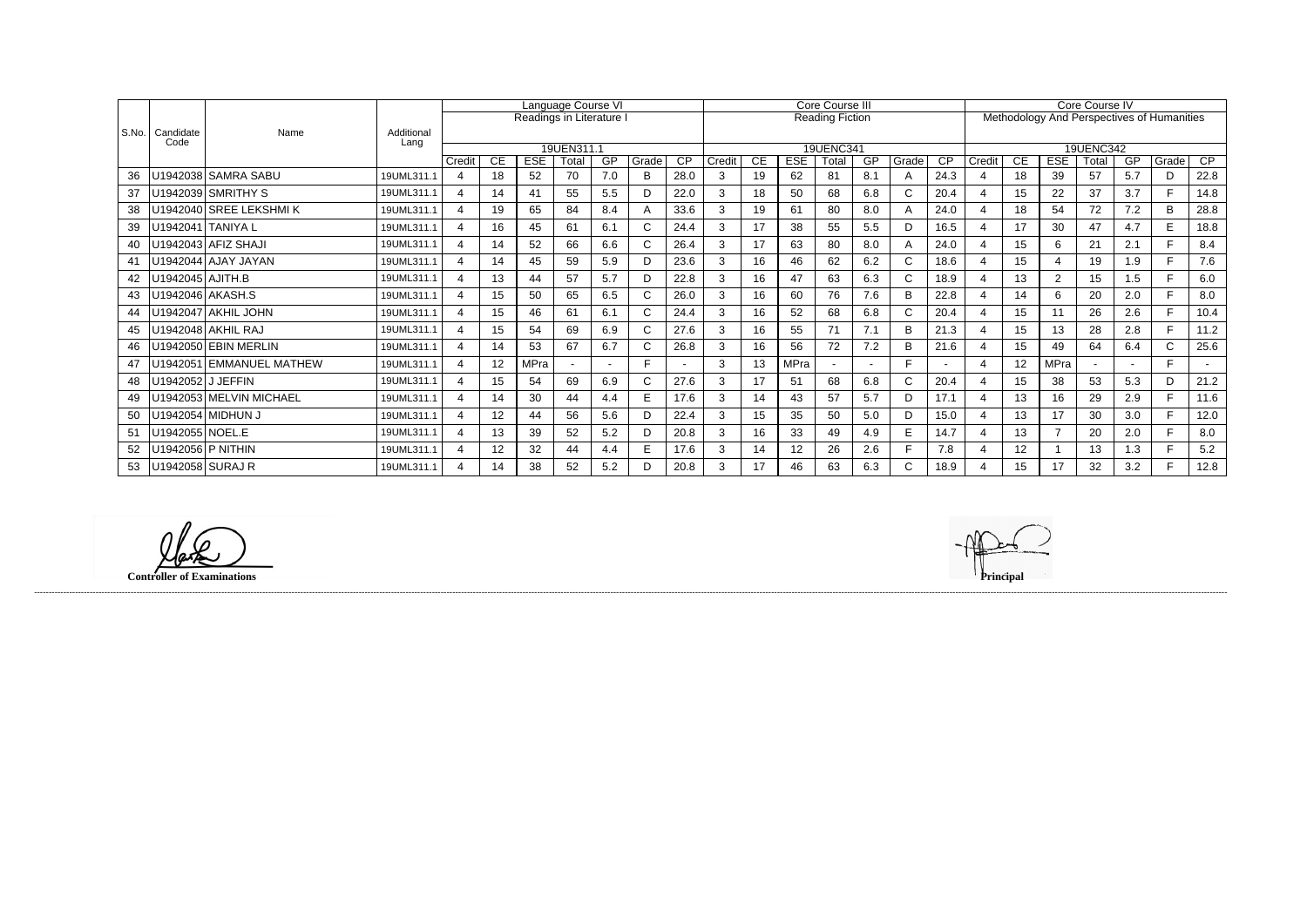|       |                    |                          |                    | Language Course VI |    |                          |            |                          |       |                 |        | Core Course III |             |                        |     |                    |      |                       |                 | Core Course IV |           |                |                                            |      |  |  |
|-------|--------------------|--------------------------|--------------------|--------------------|----|--------------------------|------------|--------------------------|-------|-----------------|--------|-----------------|-------------|------------------------|-----|--------------------|------|-----------------------|-----------------|----------------|-----------|----------------|--------------------------------------------|------|--|--|
|       |                    |                          |                    |                    |    | Readings in Literature I |            |                          |       |                 |        |                 |             | <b>Reading Fiction</b> |     |                    |      |                       |                 |                |           |                | Methodology And Perspectives of Humanities |      |  |  |
| S.No. | Candidate<br>Code  | Name                     | Additional<br>Lang |                    |    |                          |            |                          |       |                 |        |                 |             |                        |     |                    |      |                       |                 |                |           |                |                                            |      |  |  |
|       |                    |                          |                    |                    |    |                          | 19UEN311.1 |                          |       |                 |        |                 |             | <b>19UENC341</b>       |     |                    |      |                       |                 |                | 19UENC342 |                |                                            |      |  |  |
|       |                    |                          |                    | Credit             | CE | <b>ESE</b>               | Total      | GP                       | Grade | $\overline{CP}$ | Credit | CE              | <b>ESE</b>  | Total                  | GP  | Grade <sup>'</sup> | CP   | Credit                | CE              | <b>ESE</b>     | Total     | GP             | Grade                                      | CP   |  |  |
| 36    |                    | U1942038 SAMRA SABU      | 19UML311.1         | $\overline{4}$     | 18 | 52                       | 70         | 7.0                      | B     | 28.0            |        | 19              | 62          | 81                     | 8.1 | A                  | 24.3 |                       | 18              | 39             | 57        | 5.7            | D.                                         | 22.8 |  |  |
| 37    |                    | U1942039 SMRITHY S       | 19UML311.1         | 4                  | 14 | 41                       | 55         | 5.5                      |       | 22.0            | 3      | 18              | 50          | 68                     | 6.8 | $\mathsf{C}$       | 20.4 |                       | 15              | 22             | 37        | 3.7            |                                            | 14.8 |  |  |
| 38    |                    | U1942040 SREE LEKSHMIK   | 19UML311.1         | 4                  | 19 | 65                       | 84         | 8.4                      | A     | 33.6            | 3      | 19              | 61          | 80                     | 8.0 | A                  | 24.0 |                       | 18              | 54             | 72        | 7.2            | B                                          | 28.8 |  |  |
| 39    |                    | U1942041 TANIYA L        | 19UML311.1         | $\mathbf 4$        | 16 | 45                       | 61         | 6.1                      |       | 24.4            | 3      | 17              | 38          | 55                     | 5.5 | D                  | 16.5 |                       | 17              | 30             | 47        | 4.7            | E.                                         | 18.8 |  |  |
| 40    |                    | U1942043 AFIZ SHAJI      | 19UML311.1         | $\overline{4}$     | 14 | 52                       | 66         | 6.6                      |       | 26.4            | 3      | 17              | 63          | 80                     | 8.0 | A                  | 24.0 |                       | 15              | 6              | 21        | 2.1            |                                            | 8.4  |  |  |
| 41    |                    | U1942044 AJAY JAYAN      | 19UML311.1         | 4                  | 14 | 45                       | 59         | 5.9                      | D     | 23.6            | 3      | 16              | 46          | 62                     | 6.2 | $\mathsf{C}$       | 18.6 |                       | 15              |                | 19        | 1.9            |                                            | 7.6  |  |  |
| 42    | U1942045   AJITH.B |                          | 19UML311.1         | 4                  | 13 | 44                       | 57         | 5.7                      | D     | 22.8            | 3      | 16              | 47          | 63                     | 6.3 | $\mathsf{C}$       | 18.9 |                       | 13              | 2              | 15        | 1.5            | E.                                         | 6.0  |  |  |
| 43    |                    | U1942046 AKASH.S         | 19UML311.1         | 4                  | 15 | 50                       | 65         | 6.5                      |       | 26.0            | 3      | 16              | 60          | 76                     | 7.6 | B                  | 22.8 |                       | 14              | 6              | 20        | 2.0            |                                            | 8.0  |  |  |
| 44    |                    | U1942047 AKHIL JOHN      | 19UML311.1         | $\overline{A}$     | 15 | 46                       | 61         | 6.1                      |       | 24.4            | 3      | 16              | 52          | 68                     | 6.8 | $\mathsf{C}$       | 20.4 |                       | 15              | 11             | 26        | 2.6            |                                            | 10.4 |  |  |
| 45    |                    | U1942048 AKHIL RAJ       | 19UML311.1         | 4                  | 15 | 54                       | 69         | 6.9                      | C.    | 27.6            | 3      | 16              | 55          | 71                     | 7.1 | B                  | 21.3 |                       | 15              | 13             | 28        | 2.8            |                                            | 11.2 |  |  |
| 46    |                    | U1942050 EBIN MERLIN     | 19UML311.1         | 4                  | 14 | 53                       | 67         | 6.7                      | C     | 26.8            | 3      | 16              | 56          | 72                     | 7.2 | B                  | 21.6 |                       | 15 <sub>1</sub> | 49             | 64        | 6.4            | $\mathsf{C}$                               | 25.6 |  |  |
| 47    |                    | U1942051 EMMANUEL MATHEW | 19UML311.1         | 4                  | 12 | <b>MPra</b>              |            | $\overline{\phantom{0}}$ | Е     |                 | 3      | 13              | <b>MPra</b> |                        |     | E                  |      | $\boldsymbol{\Delta}$ | 12              | <b>MPra</b>    |           | $\overline{a}$ | E.                                         |      |  |  |
| 48    | U1942052 J JEFFIN  |                          | 19UML311.1         | 4                  | 15 | 54                       | 69         | 6.9                      |       | 27.6            |        | 17              | 51          | 68                     | 6.8 | $\mathsf{C}$       | 20.4 |                       | 15              | 38             | 53        | 5.3            | D.                                         | 21.2 |  |  |
| 49    |                    | U1942053 MELVIN MICHAEL  | 19UML311.1         | $\overline{A}$     | 14 | 30                       | 44         | 4.4                      | E     | 17.6            | 3      | 14              | 43          | 57                     | 5.7 | D                  | 17.1 |                       | 13              | 16             | 29        | 2.9            | F.                                         | 11.6 |  |  |
| 50    |                    | U1942054 MIDHUN J        | 19UML311.1         | 4                  | 12 | 44                       | 56         | 5.6                      |       | 22.4            | 3      | 15              | 35          | 50                     | 5.0 | D                  | 15.0 |                       | 13              | 17             | 30        | 3.0            | E.                                         | 12.0 |  |  |
| 51    | U1942055 NOEL.E    |                          | 19UML311.1         | $\overline{A}$     | 13 | 39                       | 52         | 5.2                      | D.    | 20.8            | 3      | 16              | 33          | 49                     | 4.9 | E                  | 14.7 |                       | 13              | $\overline{7}$ | 20        | 2.0            |                                            | 8.0  |  |  |
| 52    |                    | U1942056 P NITHIN        | 19UML311.1         | 4                  | 12 | 32                       | 44         | 4.4                      | Е     | 17.6            | 3      | 14              | 12          | 26                     | 2.6 | E                  | 7.8  |                       | 12              |                | 13        | 1.3            | E.                                         | 5.2  |  |  |
| 53    | U1942058 SURAJ R   |                          | 19UML311.1         | 4                  | 14 | 38                       | 52         | 5.2                      |       | 20.8            |        | 17              | 46          | 63                     | 6.3 | C                  | 18.9 |                       | 15              | 17             | 32        | 3.2            |                                            | 12.8 |  |  |

**Controller of Examinations Principal**

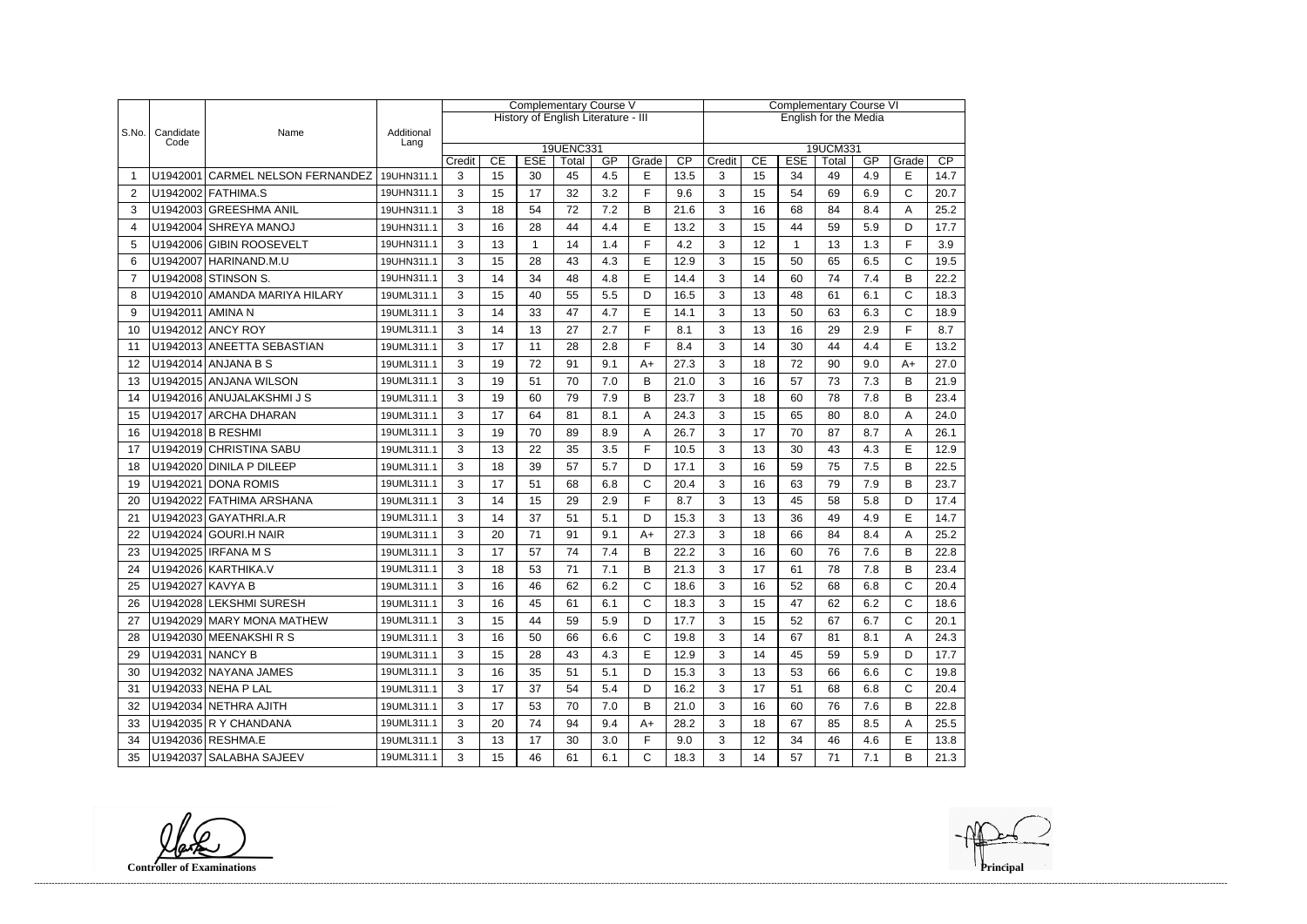|                |                   |                                  |                    | <b>Complementary Course V</b> |    |             |                                     |     |              |                              | <b>Complementary Course VI</b> |    |            |             |     |              |      |  |
|----------------|-------------------|----------------------------------|--------------------|-------------------------------|----|-------------|-------------------------------------|-----|--------------|------------------------------|--------------------------------|----|------------|-------------|-----|--------------|------|--|
|                |                   |                                  |                    |                               |    |             | History of English Literature - III |     |              | <b>English for the Media</b> |                                |    |            |             |     |              |      |  |
| S.No.          | Candidate<br>Code | Name                             | Additional<br>Lang |                               |    |             |                                     |     |              |                              |                                |    |            |             |     |              |      |  |
|                |                   |                                  |                    | Credit                        | CE | <b>ESE</b>  | <b>19UENC331</b>                    | GP  | Grade        | CP                           |                                | CE | <b>ESE</b> | 19UCM331    | GP  | Grade        | CP   |  |
|                |                   | U1942001 CARMEL NELSON FERNANDEZ | 19UHN311.1         | 3                             | 15 | 30          | Total<br>45                         | 4.5 | E            | 13.5                         | Credit<br>3                    | 15 | 34         | Total<br>49 | 4.9 | E            | 14.7 |  |
| $\overline{2}$ |                   | U1942002 FATHIMA.S               | 19UHN311.1         | 3                             | 15 | 17          | 32                                  | 3.2 | F            | 9.6                          | 3                              | 15 | 54         | 69          | 6.9 | $\mathsf{C}$ | 20.7 |  |
| 3              |                   | U1942003 GREESHMA ANIL           | 19UHN311.1         | 3                             | 18 | 54          | 72                                  | 7.2 | B            | 21.6                         | 3                              | 16 | 68         | 84          | 8.4 | A            | 25.2 |  |
| 4              |                   | U1942004 SHREYA MANOJ            | 19UHN311.1         | 3                             | 16 | 28          | 44                                  | 4.4 | E            | 13.2                         | 3                              | 15 | 44         | 59          | 5.9 | D            | 17.7 |  |
| 5              |                   | U1942006 GIBIN ROOSEVELT         | 19UHN311.1         | 3                             | 13 | $\mathbf 1$ | 14                                  | 1.4 | E            | 4.2                          | 3                              | 12 | 1          | 13          | 1.3 | F            | 3.9  |  |
| 6              |                   | U1942007 HARINAND.M.U            | 19UHN311.1         | 3                             | 15 | 28          | 43                                  | 4.3 | E            | 12.9                         | 3                              | 15 | 50         | 65          | 6.5 | $\mathsf{C}$ | 19.5 |  |
| $\overline{7}$ |                   | U1942008 STINSON S.              | 19UHN311.1         | 3                             | 14 | 34          | 48                                  | 4.8 | E            | 14.4                         | 3                              | 14 | 60         | 74          | 7.4 | B            | 22.2 |  |
| 8              |                   | U1942010 AMANDA MARIYA HILARY    | 19UML311.1         | 3                             | 15 | 40          | 55                                  | 5.5 | D            | 16.5                         | 3                              | 13 | 48         | 61          | 6.1 | $\mathsf{C}$ | 18.3 |  |
| 9              | U1942011 AMINA N  |                                  | 19UML311.1         | 3                             | 14 | 33          | 47                                  | 4.7 | E            | 14.1                         | 3                              | 13 | 50         | 63          | 6.3 | $\mathsf{C}$ | 18.9 |  |
| 10             |                   | U1942012 ANCY ROY                | 19UML311.1         | 3                             | 14 | 13          | 27                                  | 2.7 | E            | 8.1                          | 3                              | 13 | 16         | 29          | 2.9 | F            | 8.7  |  |
| 11             |                   | U1942013 ANEETTA SEBASTIAN       | 19UML311.1         | 3                             | 17 | 11          | 28                                  | 2.8 | F            | 8.4                          | 3                              | 14 | 30         | 44          | 4.4 | E            | 13.2 |  |
| 12             |                   | U1942014 ANJANA B S              | 19UML311.1         | 3                             | 19 | 72          | 91                                  | 9.1 | $A+$         | 27.3                         | 3                              | 18 | 72         | 90          | 9.0 | $A+$         | 27.0 |  |
| 13             |                   | U1942015 ANJANA WILSON           | 19UML311.1         | 3                             | 19 | 51          | 70                                  | 7.0 | B            | 21.0                         | 3                              | 16 | 57         | 73          | 7.3 | B            | 21.9 |  |
| 14             |                   | U1942016 ANUJALAKSHMI J S        | 19UML311.1         | 3                             | 19 | 60          | 79                                  | 7.9 | B            | 23.7                         | 3                              | 18 | 60         | 78          | 7.8 | B            | 23.4 |  |
| 15             |                   | U1942017 ARCHA DHARAN            | 19UML311.1         | 3                             | 17 | 64          | 81                                  | 8.1 | A            | 24.3                         | 3                              | 15 | 65         | 80          | 8.0 | A            | 24.0 |  |
| 16             |                   | U1942018 B RESHMI                | 19UML311.1         | 3                             | 19 | 70          | 89                                  | 8.9 | A            | 26.7                         | 3                              | 17 | 70         | 87          | 8.7 | A            | 26.1 |  |
| 17             |                   | U1942019 CHRISTINA SABU          | 19UML311.1         | 3                             | 13 | 22          | 35                                  | 3.5 | F            | 10.5                         | 3                              | 13 | 30         | 43          | 4.3 | E            | 12.9 |  |
| 18             |                   | U1942020 DINILA P DILEEP         | 19UML311.1         | 3                             | 18 | 39          | 57                                  | 5.7 | D            | 17.1                         | 3                              | 16 | 59         | 75          | 7.5 | B            | 22.5 |  |
| 19             |                   | U1942021 DONA ROMIS              | 19UML311.1         | 3                             | 17 | 51          | 68                                  | 6.8 | $\mathsf{C}$ | 20.4                         | 3                              | 16 | 63         | 79          | 7.9 | B            | 23.7 |  |
| 20             |                   | U1942022 FATHIMA ARSHANA         | 19UML311.1         | 3                             | 14 | 15          | 29                                  | 2.9 | F            | 8.7                          | 3                              | 13 | 45         | 58          | 5.8 | D            | 17.4 |  |
| 21             |                   | U1942023 GAYATHRI.A.R            | 19UML311.1         | 3                             | 14 | 37          | 51                                  | 5.1 | D            | 15.3                         | 3                              | 13 | 36         | 49          | 4.9 | E            | 14.7 |  |
| 22             |                   | U1942024 GOURI.H NAIR            | 19UML311.1         | 3                             | 20 | 71          | 91                                  | 9.1 | $A+$         | 27.3                         | 3                              | 18 | 66         | 84          | 8.4 | A            | 25.2 |  |
| 23             |                   | U1942025 IRFANA M S              | 19UML311.1         | 3                             | 17 | 57          | 74                                  | 7.4 | B            | 22.2                         | 3                              | 16 | 60         | 76          | 7.6 | B            | 22.8 |  |
| 24             |                   | U1942026 KARTHIKA.V              | 19UML311.1         | 3                             | 18 | 53          | 71                                  | 7.1 | B            | 21.3                         | 3                              | 17 | 61         | 78          | 7.8 | B            | 23.4 |  |
| 25             | U1942027 KAVYA B  |                                  | 19UML311.1         | 3                             | 16 | 46          | 62                                  | 6.2 | $\cap$       | 18.6                         | 3                              | 16 | 52         | 68          | 6.8 | $\mathsf{C}$ | 20.4 |  |
| 26             |                   | U1942028 LEKSHMI SURESH          | 19UML311.1         | 3                             | 16 | 45          | 61                                  | 6.1 | $\mathsf{C}$ | 18.3                         | 3                              | 15 | 47         | 62          | 6.2 | C            | 18.6 |  |
| 27             |                   | U1942029 MARY MONA MATHEW        | 19UML311.1         | 3                             | 15 | 44          | 59                                  | 5.9 | D            | 17.7                         | 3                              | 15 | 52         | 67          | 6.7 | $\mathsf{C}$ | 20.1 |  |
| 28             |                   | U1942030 MEENAKSHIRS             | 19UML311.1         | 3                             | 16 | 50          | 66                                  | 6.6 | $\mathsf{C}$ | 19.8                         | 3                              | 14 | 67         | 81          | 8.1 | A            | 24.3 |  |
| 29             | U1942031 NANCY B  |                                  | 19UML311.1         | 3                             | 15 | 28          | 43                                  | 4.3 | E            | 12.9                         | 3                              | 14 | 45         | 59          | 5.9 | D            | 17.7 |  |
| 30             |                   | U1942032 NAYANA JAMES            | 19UML311.1         | 3                             | 16 | 35          | 51                                  | 5.1 | D            | 15.3                         | 3                              | 13 | 53         | 66          | 6.6 | C            | 19.8 |  |
| 31             |                   | U1942033 NEHA P LAL              | 19UML311.1         | 3                             | 17 | 37          | 54                                  | 5.4 | D            | 16.2                         | 3                              | 17 | 51         | 68          | 6.8 | $\mathsf{C}$ | 20.4 |  |
| 32             |                   | U1942034 NETHRA AJITH            | 19UML311.1         | 3                             | 17 | 53          | 70                                  | 7.0 | В            | 21.0                         | 3                              | 16 | 60         | 76          | 7.6 | B            | 22.8 |  |
| 33             |                   | U1942035 R Y CHANDANA            | 19UML311.1         | 3                             | 20 | 74          | 94                                  | 9.4 | $A+$         | 28.2                         | 3                              | 18 | 67         | 85          | 8.5 | A            | 25.5 |  |
| 34             |                   | U1942036 RESHMA.E                | 19UML311.1         | 3                             | 13 | 17          | 30                                  | 3.0 | F            | 9.0                          | 3                              | 12 | 34         | 46          | 4.6 | Е            | 13.8 |  |
| 35             |                   | U1942037 SALABHA SAJEEV          | 19UML311.1         | 3                             | 15 | 46          | 61                                  | 6.1 | $\mathsf C$  | 18.3                         | 3                              | 14 | 57         | 71          | 7.1 | B            | 21.3 |  |

**Controller of Examinations** 

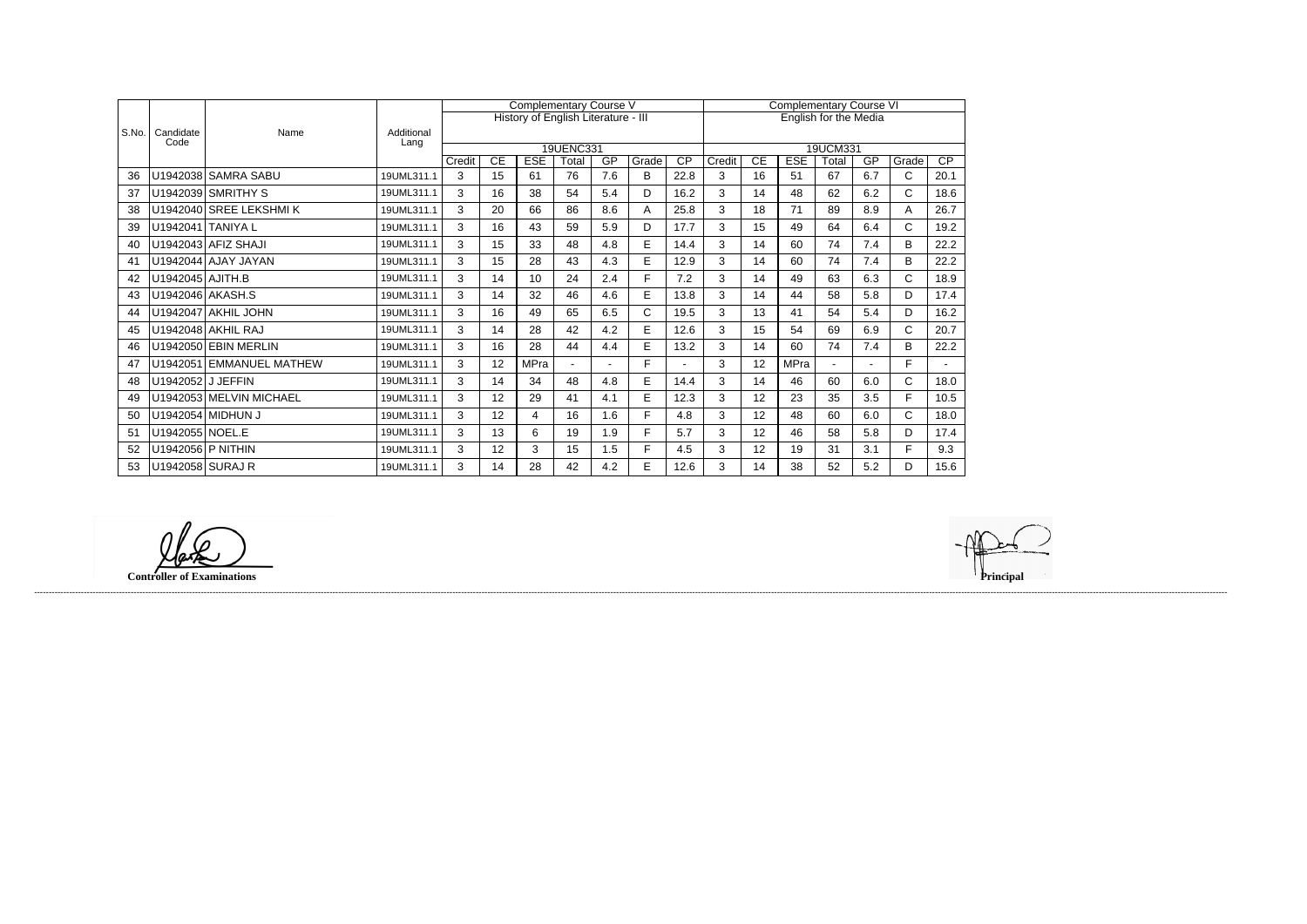|       |                   |                          |                    |        |    | <b>Complementary Course V</b>       |                    |     |       | <b>Complementary Course VI</b> |        |    |             |                              |     |              |                 |
|-------|-------------------|--------------------------|--------------------|--------|----|-------------------------------------|--------------------|-----|-------|--------------------------------|--------|----|-------------|------------------------------|-----|--------------|-----------------|
|       |                   |                          |                    |        |    | History of English Literature - III |                    |     |       |                                |        |    |             | <b>English for the Media</b> |     |              |                 |
| S.No. | Candidate<br>Code | Name                     | Additional<br>Lang |        |    |                                     |                    |     |       |                                |        |    |             |                              |     |              |                 |
|       |                   |                          |                    | Credit | CE | <b>ESE</b>                          | 19UENC331<br>Total | GP  | Grade | $\overline{CP}$                | Credit | CE | <b>ESE</b>  | 19UCM331<br>Total            | GP  | Grade        | $\overline{CP}$ |
| 36    |                   | U1942038 SAMRA SABU      | 19UML311.1         | 3      | 15 | 61                                  | 76                 | 7.6 | B     | 22.8                           | 3      | 16 | 51          | 67                           | 6.7 | C            | 20.1            |
|       |                   | U1942039 SMRITHY S       | 19UML311.1         | 3      | 16 | 38                                  | 54                 | 5.4 | D     | 16.2                           | 3      | 14 | 48          | 62                           | 6.2 | $\mathsf{C}$ | 18.6            |
| 38    |                   | U1942040 SREE LEKSHMIK   | 19UML311.1         | 3      | 20 | 66                                  | 86                 | 8.6 | Α     | 25.8                           | 3      | 18 | 71          | 89                           | 8.9 | A            | 26.7            |
| 39    |                   | U1942041 TANIYA L        | 19UML311.1         | 3      | 16 | 43                                  | 59                 | 5.9 | D     | 17.7                           | 3      | 15 | 49          | 64                           | 6.4 | C            | 19.2            |
| 40    |                   | U1942043 AFIZ SHAJI      | 19UML311.1         | 3      | 15 | 33                                  | 48                 | 4.8 | E     | 14.4                           | 3      | 14 | 60          | 74                           | 7.4 | B            | 22.2            |
| 41    |                   | U1942044 AJAY JAYAN      | 19UML311.1         | 3      | 15 | 28                                  | 43                 | 4.3 | E     | 12.9                           | 3      | 14 | 60          | 74                           | 7.4 | B            | 22.2            |
| 42    | U1942045 AJITH.B  |                          | 19UML311.1         | 3      | 14 | 10                                  | 24                 | 2.4 | F.    | 7.2                            | 3      | 14 | 49          | 63                           | 6.3 | $\mathsf C$  | 18.9            |
| 43    |                   | U1942046 AKASH.S         | 19UML311.1         | 3      | 14 | 32                                  | 46                 | 4.6 | E     | 13.8                           | 3      | 14 | 44          | 58                           | 5.8 | D            | 17.4            |
| 44    |                   | U1942047 AKHIL JOHN      | 19UML311.1         | 3      | 16 | 49                                  | 65                 | 6.5 | C     | 19.5                           | 3      | 13 | 41          | 54                           | 5.4 | D            | 16.2            |
| 45    |                   | U1942048 AKHIL RAJ       | 19UML311.1         | 3      | 14 | 28                                  | 42                 | 4.2 | E     | 12.6                           | 3      | 15 | 54          | 69                           | 6.9 | $\mathsf{C}$ | 20.7            |
| 46    |                   | U1942050 EBIN MERLIN     | 19UML311.1         | 3      | 16 | 28                                  | 44                 | 4.4 | E     | 13.2                           | 3      | 14 | 60          | 74                           | 7.4 | B            | 22.2            |
| 47    |                   | U1942051 EMMANUEL MATHEW | 19UML311.1         | 3      | 12 | <b>MPra</b>                         | $\sim$             |     | F.    |                                | 3      | 12 | <b>MPra</b> |                              |     | F.           |                 |
| 48    |                   | U1942052 J JEFFIN        | 19UML311.1         | 3      | 14 | 34                                  | 48                 | 4.8 | E     | 14.4                           | 3      | 14 | 46          | 60                           | 6.0 | $\mathsf{C}$ | 18.0            |
| 49    |                   | U1942053 MELVIN MICHAEL  | 19UML311.1         | 3      | 12 | 29                                  | 41                 | 4.1 | E     | 12.3                           | 3      | 12 | 23          | 35                           | 3.5 | F            | 10.5            |
| 50    |                   | U1942054 MIDHUN J        | 19UML311.1         | 3      | 12 | 4                                   | 16                 | 1.6 | F.    | 4.8                            | 3      | 12 | 48          | 60                           | 6.0 | $\mathsf{C}$ | 18.0            |
| 51    | U1942055 NOEL.E   |                          | 19UML311.1         | 3      | 13 | 6                                   | 19                 | 1.9 | F.    | 5.7                            | 3      | 12 | 46          | 58                           | 5.8 | D            | 17.4            |
| 52    |                   | U1942056 P NITHIN        | 19UML311.1         | 3      | 12 | 3                                   | 15                 | 1.5 | F.    | 4.5                            | 3      | 12 | 19          | 31                           | 3.1 | F.           | 9.3             |
| 53    | U1942058 SURAJ R  |                          | 19UML311.1         | 3      | 14 | 28                                  | 42                 | 4.2 | E     | 12.6                           | 3      | 14 | 38          | 52                           | 5.2 | D.           | 15.6            |

**Controller of Examinations** 

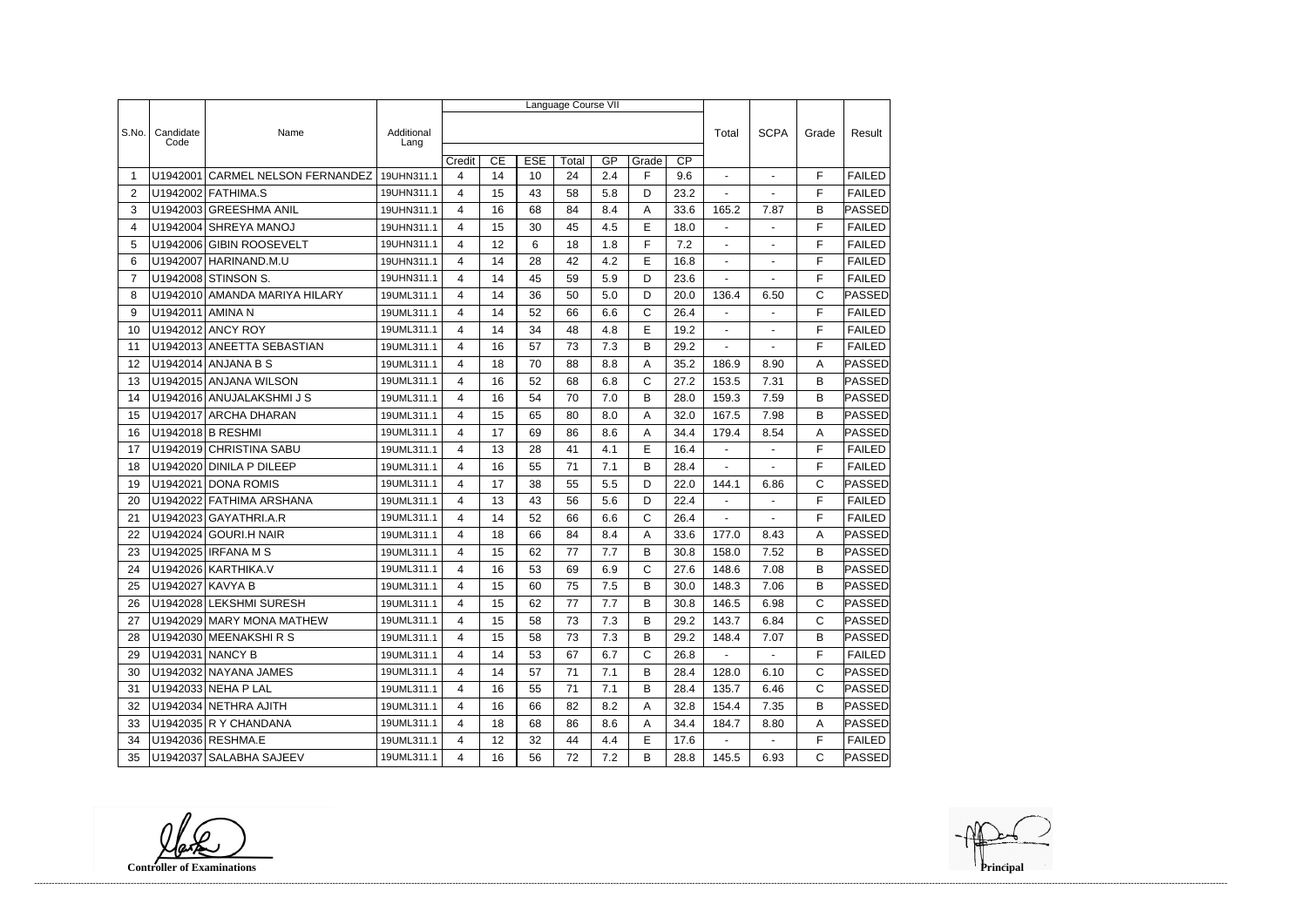|                |                    |                                |                    | Language Course VII |    |            |       |     |             |                 |                          |                |              |               |  |
|----------------|--------------------|--------------------------------|--------------------|---------------------|----|------------|-------|-----|-------------|-----------------|--------------------------|----------------|--------------|---------------|--|
|                |                    |                                |                    |                     |    |            |       |     |             |                 |                          |                |              |               |  |
| S.No.          | Candidate<br>Code  | Name                           | Additional<br>Lang |                     |    |            |       |     |             |                 | Total                    | <b>SCPA</b>    | Grade        | Result        |  |
|                |                    |                                |                    | Credit              | CE | <b>ESE</b> | Total | GP  | Grade       | $\overline{CP}$ |                          |                |              |               |  |
| -1             | U1942001           | <b>CARMEL NELSON FERNANDEZ</b> | 19UHN311.1         | 4                   | 14 | 10         | 24    | 2.4 | F           | 9.6             |                          | $\blacksquare$ | F            | <b>FAILED</b> |  |
| 2              |                    | U1942002 FATHIMA.S             | 19UHN311.1         | 4                   | 15 | 43         | 58    | 5.8 | D           | 23.2            | $\overline{\phantom{a}}$ | $\blacksquare$ | F            | <b>FAILED</b> |  |
| 3              |                    | U1942003 GREESHMA ANIL         | 19UHN311.1         | 4                   | 16 | 68         | 84    | 8.4 | A           | 33.6            | 165.2                    | 7.87           | B            | <b>PASSED</b> |  |
| 4              |                    | U1942004 SHREYA MANOJ          | 19UHN311.1         | 4                   | 15 | 30         | 45    | 4.5 | E           | 18.0            | $\mathbf{r}$             |                | F            | <b>FAILED</b> |  |
| 5              |                    | U1942006 GIBIN ROOSEVELT       | 19UHN311.1         | 4                   | 12 | 6          | 18    | 1.8 | F           | 7.2             | $\blacksquare$           | $\blacksquare$ | F            | <b>FAILED</b> |  |
| 6              | U1942007           | HARINAND.M.U                   | 19UHN311.1         | 4                   | 14 | 28         | 42    | 4.2 | E           | 16.8            |                          |                | F            | <b>FAILED</b> |  |
| $\overline{7}$ |                    | U1942008 STINSON S.            | 19UHN311.1         | 4                   | 14 | 45         | 59    | 5.9 | D           | 23.6            | $\mathbf{r}$             |                | F            | <b>FAILED</b> |  |
| 8              |                    | U1942010 AMANDA MARIYA HILARY  | 19UML311.1         | 4                   | 14 | 36         | 50    | 5.0 | D           | 20.0            | 136.4                    | 6.50           | C            | <b>PASSED</b> |  |
| 9              | U1942011 AMINA N   |                                | 19UML311.1         | 4                   | 14 | 52         | 66    | 6.6 | $\mathsf C$ | 26.4            | $\blacksquare$           |                | F            | <b>FAILED</b> |  |
| 10             |                    | U1942012 ANCY ROY              | 19UML311.1         | 4                   | 14 | 34         | 48    | 4.8 | E           | 19.2            | $\blacksquare$           | $\blacksquare$ | F            | <b>FAILED</b> |  |
| 11             |                    | U1942013 ANEETTA SEBASTIAN     | 19UML311.1         | 4                   | 16 | 57         | 73    | 7.3 | Β           | 29.2            |                          |                | F            | <b>FAILED</b> |  |
| 12             |                    | U1942014 ANJANA B S            | 19UML311.1         | 4                   | 18 | 70         | 88    | 8.8 | Α           | 35.2            | 186.9                    | 8.90           | Α            | PASSED        |  |
| 13             |                    | U1942015 ANJANA WILSON         | 19UML311.1         | 4                   | 16 | 52         | 68    | 6.8 | C           | 27.2            | 153.5                    | 7.31           | B            | <b>PASSED</b> |  |
| 14             |                    | U1942016 ANUJALAKSHMIJS        | 19UML311.1         | 4                   | 16 | 54         | 70    | 7.0 | В           | 28.0            | 159.3                    | 7.59           | B            | PASSED        |  |
| 15             |                    | U1942017 ARCHA DHARAN          | 19UML311.1         | 4                   | 15 | 65         | 80    | 8.0 | Α           | 32.0            | 167.5                    | 7.98           | B            | PASSED        |  |
| 16             |                    | U1942018 B RESHMI              | 19UML311.1         | 4                   | 17 | 69         | 86    | 8.6 | Α           | 34.4            | 179.4                    | 8.54           | A            | PASSED        |  |
| 17             |                    | U1942019 CHRISTINA SABU        | 19UML311.1         | 4                   | 13 | 28         | 41    | 4.1 | E           | 16.4            | $\mathbf{r}$             |                | F            | <b>FAILED</b> |  |
| 18             |                    | U1942020 DINILA P DILEEP       | 19UML311.1         | 4                   | 16 | 55         | 71    | 7.1 | B           | 28.4            | $\blacksquare$           |                | F            | <b>FAILED</b> |  |
| 19             | U1942021           | <b>DONA ROMIS</b>              | 19UML311.1         | 4                   | 17 | 38         | 55    | 5.5 | D           | 22.0            | 144.1                    | 6.86           | $\mathsf C$  | PASSED        |  |
| 20             |                    | U1942022 FATHIMA ARSHANA       | 19UML311.1         | 4                   | 13 | 43         | 56    | 5.6 | D           | 22.4            | $\blacksquare$           | $\blacksquare$ | F            | <b>FAILED</b> |  |
| 21             |                    | U1942023 GAYATHRI.A.R          | 19UML311.1         | 4                   | 14 | 52         | 66    | 6.6 | C           | 26.4            | $\blacksquare$           | $\overline{a}$ | F            | <b>FAILED</b> |  |
| 22             |                    | U1942024 GOURI.H NAIR          | 19UML311.1         | 4                   | 18 | 66         | 84    | 8.4 | Α           | 33.6            | 177.0                    | 8.43           | A            | PASSED        |  |
| 23             |                    | U1942025 IRFANA M S            | 19UML311.1         | 4                   | 15 | 62         | 77    | 7.7 | в           | 30.8            | 158.0                    | 7.52           | B            | <b>PASSED</b> |  |
| 24             |                    | U1942026 KARTHIKA.V            | 19UML311.1         | 4                   | 16 | 53         | 69    | 6.9 | C           | 27.6            | 148.6                    | 7.08           | B            | PASSED        |  |
| 25             | U1942027 KAVYA B   |                                | 19UML311.1         | 4                   | 15 | 60         | 75    | 7.5 | B           | 30.0            | 148.3                    | 7.06           | B            | <b>PASSED</b> |  |
| 26             |                    | U1942028 LEKSHMI SURESH        | 19UML311.1         | 4                   | 15 | 62         | 77    | 7.7 | B           | 30.8            | 146.5                    | 6.98           | C            | <b>PASSED</b> |  |
| 27             |                    | U1942029 MARY MONA MATHEW      | 19UML311.1         | 4                   | 15 | 58         | 73    | 7.3 | В           | 29.2            | 143.7                    | 6.84           | $\mathsf{C}$ | PASSED        |  |
| 28             |                    | U1942030 MEENAKSHIRS           | 19UML311.1         | 4                   | 15 | 58         | 73    | 7.3 | B           | 29.2            | 148.4                    | 7.07           | B            | <b>PASSED</b> |  |
| 29             | U1942031   NANCY B |                                | 19UML311.1         | 4                   | 14 | 53         | 67    | 6.7 | C           | 26.8            | $\sim$                   | $\blacksquare$ | F            | <b>FAILED</b> |  |
| 30             |                    | U1942032 NAYANA JAMES          | 19UML311.1         | 4                   | 14 | 57         | 71    | 7.1 | B           | 28.4            | 128.0                    | 6.10           | С            | PASSED        |  |
| 31             |                    | U1942033 NEHA P LAL            | 19UML311.1         | 4                   | 16 | 55         | 71    | 7.1 | B           | 28.4            | 135.7                    | 6.46           | C            | <b>PASSED</b> |  |
| 32             |                    | U1942034 NETHRA AJITH          | 19UML311.1         | 4                   | 16 | 66         | 82    | 8.2 | Α           | 32.8            | 154.4                    | 7.35           | B            | PASSED        |  |
| 33             |                    | U1942035 R Y CHANDANA          | 19UML311.1         | 4                   | 18 | 68         | 86    | 8.6 | A           | 34.4            | 184.7                    | 8.80           | A            | <b>PASSED</b> |  |
| 34             |                    | U1942036 RESHMA.E              | 19UML311.1         | 4                   | 12 | 32         | 44    | 4.4 | Е           | 17.6            |                          |                | F            | <b>FAILED</b> |  |
| 35             |                    | U1942037 SALABHA SAJEEV        | 19UML311.1         | 4                   | 16 | 56         | 72    | 7.2 | В           | 28.8            | 145.5                    | 6.93           | С            | PASSED        |  |

**Controller of Examinations**